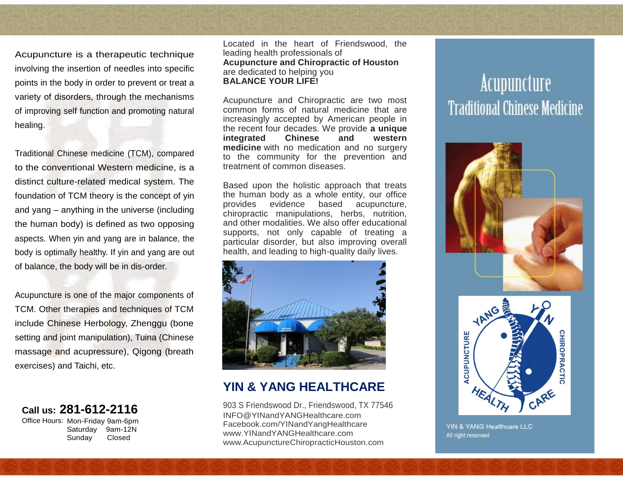Acupuncture is a therapeutic technique involving the insertion of needles into specific points in the body in order to prevent or treat a variety of disorders, through the mechanisms of improving self function and promoting natural healing.

Traditional Chinese medicine (TCM), compared to the conventional Western medicine, is a distinct culture-related medical system. The foundation of TCM theory is the concept of yin and yang – anything in the universe (including the human body) is defined as two opposing aspects. When yin and yang are in balance, the body is optimally healthy. If yin and yang are out of balance, the body will be in dis-order.

Acupuncture is one of the major components of TCM. Other therapies and techniques of TCM include Chinese Herbology, Zhenggu (bone setting and joint manipulation), Tuina (Chinese massage and acupressure), Qigong (breath exercises) and Taichi, etc.

**Call us: 281-612-2116** Office Hours: Mon-Friday 9am-6pm Saturday 9am-12N Sunday Closed

Located in the heart of Friendswood, the leading health professionals of **Acupuncture and Chiropractic of Houston** are dedicated to helping you **BALANCE YOUR LIFE!**

Acupuncture and Chiropractic are two most common forms of natural medicine that are increasingly accepted by American people in the recent four decades. We provide **a unique integrated Chinese and western medicine** with no medication and no surgery to the community for the prevention and treatment of common diseases.

Based upon the holistic approach that treats the human body as a whole entity, our office provides evidence based acupuncture, chiropractic manipulations, herbs, nutrition, and other modalities. We also offer educational supports, not only capable of treating a particular disorder, but also improving overall health, and leading to high-quality daily lives.



## **YIN & YANG HEALTHCARE**

903 S Friendswood Dr., Friendswood, TX 77546 INFO@YINandYANGHealthcare.com Facebook.com/YINandYangHealthcare www.YINandYANGHealthcare.com www.AcupunctureChiropracticHouston.com

# Acupuncture **Traditional Chinese Medicine**





YIN & YANG Healthcare LLC All right reserved